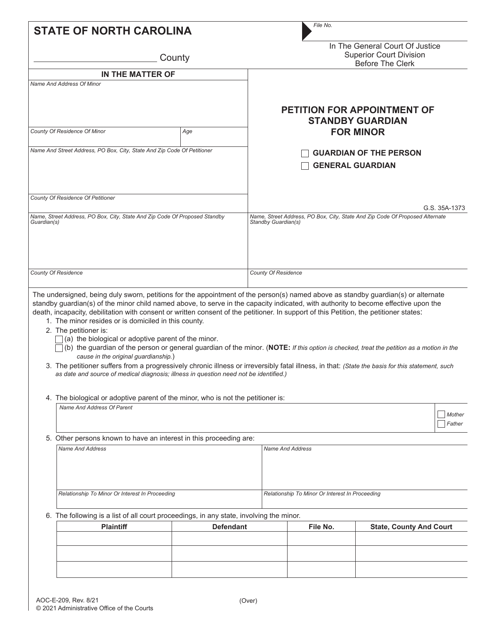|                                                                                           | <b>STATE OF NORTH CAROLINA</b>                                                                                                                                                                                                                                                                                                                                                                                                                                                                                                                                                                                                                                                                                         |                                                                                              |                                                                                                                      | File No.                   |                                                               |                  |  |  |
|-------------------------------------------------------------------------------------------|------------------------------------------------------------------------------------------------------------------------------------------------------------------------------------------------------------------------------------------------------------------------------------------------------------------------------------------------------------------------------------------------------------------------------------------------------------------------------------------------------------------------------------------------------------------------------------------------------------------------------------------------------------------------------------------------------------------------|----------------------------------------------------------------------------------------------|----------------------------------------------------------------------------------------------------------------------|----------------------------|---------------------------------------------------------------|------------------|--|--|
|                                                                                           | County                                                                                                                                                                                                                                                                                                                                                                                                                                                                                                                                                                                                                                                                                                                 | In The General Court Of Justice<br><b>Superior Court Division</b><br><b>Before The Clerk</b> |                                                                                                                      |                            |                                                               |                  |  |  |
|                                                                                           | IN THE MATTER OF<br>Name And Address Of Minor                                                                                                                                                                                                                                                                                                                                                                                                                                                                                                                                                                                                                                                                          |                                                                                              |                                                                                                                      |                            |                                                               |                  |  |  |
|                                                                                           |                                                                                                                                                                                                                                                                                                                                                                                                                                                                                                                                                                                                                                                                                                                        |                                                                                              |                                                                                                                      |                            | <b>PETITION FOR APPOINTMENT OF</b><br><b>STANDBY GUARDIAN</b> |                  |  |  |
|                                                                                           | County Of Residence Of Minor                                                                                                                                                                                                                                                                                                                                                                                                                                                                                                                                                                                                                                                                                           | Age                                                                                          |                                                                                                                      | <b>FOR MINOR</b>           |                                                               |                  |  |  |
|                                                                                           | Name And Street Address, PO Box, City, State And Zip Code Of Petitioner                                                                                                                                                                                                                                                                                                                                                                                                                                                                                                                                                                                                                                                |                                                                                              | <b>GUARDIAN OF THE PERSON</b><br><b>GENERAL GUARDIAN</b>                                                             |                            |                                                               |                  |  |  |
|                                                                                           | County Of Residence Of Petitioner                                                                                                                                                                                                                                                                                                                                                                                                                                                                                                                                                                                                                                                                                      |                                                                                              |                                                                                                                      |                            |                                                               |                  |  |  |
| Name, Street Address, PO Box, City, State And Zip Code Of Proposed Standby<br>Guardian(s) |                                                                                                                                                                                                                                                                                                                                                                                                                                                                                                                                                                                                                                                                                                                        |                                                                                              | G.S. 35A-1373<br>Name, Street Address, PO Box, City, State And Zip Code Of Proposed Alternate<br>Standby Guardian(s) |                            |                                                               |                  |  |  |
|                                                                                           | <b>County Of Residence</b>                                                                                                                                                                                                                                                                                                                                                                                                                                                                                                                                                                                                                                                                                             |                                                                                              |                                                                                                                      | <b>County Of Residence</b> |                                                               |                  |  |  |
|                                                                                           | death, incapacity, debilitation with consent or written consent of the petitioner. In support of this Petition, the petitioner states:<br>1. The minor resides or is domiciled in this county.<br>2. The petitioner is:<br>$\Box$ (a) the biological or adoptive parent of the minor.<br>(b) the guardian of the person or general guardian of the minor. (NOTE: If this option is checked, treat the petition as a motion in the<br>cause in the original guardianship.)<br>3. The petitioner suffers from a progressively chronic illness or irreversibly fatal illness, in that: (State the basis for this statement, such<br>as date and source of medical diagnosis; illness in question need not be identified.) |                                                                                              |                                                                                                                      |                            |                                                               |                  |  |  |
|                                                                                           | 4. The biological or adoptive parent of the minor, who is not the petitioner is:<br>Name And Address Of Parent                                                                                                                                                                                                                                                                                                                                                                                                                                                                                                                                                                                                         |                                                                                              |                                                                                                                      |                            |                                                               | Mother<br>Father |  |  |
|                                                                                           | 5. Other persons known to have an interest in this proceeding are:                                                                                                                                                                                                                                                                                                                                                                                                                                                                                                                                                                                                                                                     |                                                                                              |                                                                                                                      |                            |                                                               |                  |  |  |
|                                                                                           | <b>Name And Address</b>                                                                                                                                                                                                                                                                                                                                                                                                                                                                                                                                                                                                                                                                                                | <b>Name And Address</b>                                                                      |                                                                                                                      |                            |                                                               |                  |  |  |
|                                                                                           | Relationship To Minor Or Interest In Proceeding                                                                                                                                                                                                                                                                                                                                                                                                                                                                                                                                                                                                                                                                        | Relationship To Minor Or Interest In Proceeding                                              |                                                                                                                      |                            |                                                               |                  |  |  |
|                                                                                           | 6. The following is a list of all court proceedings, in any state, involving the minor.                                                                                                                                                                                                                                                                                                                                                                                                                                                                                                                                                                                                                                |                                                                                              |                                                                                                                      |                            |                                                               |                  |  |  |
|                                                                                           | <b>Plaintiff</b>                                                                                                                                                                                                                                                                                                                                                                                                                                                                                                                                                                                                                                                                                                       | <b>Defendant</b>                                                                             |                                                                                                                      | File No.                   | <b>State, County And Court</b>                                |                  |  |  |
|                                                                                           |                                                                                                                                                                                                                                                                                                                                                                                                                                                                                                                                                                                                                                                                                                                        |                                                                                              |                                                                                                                      |                            |                                                               |                  |  |  |
|                                                                                           |                                                                                                                                                                                                                                                                                                                                                                                                                                                                                                                                                                                                                                                                                                                        |                                                                                              |                                                                                                                      |                            |                                                               |                  |  |  |